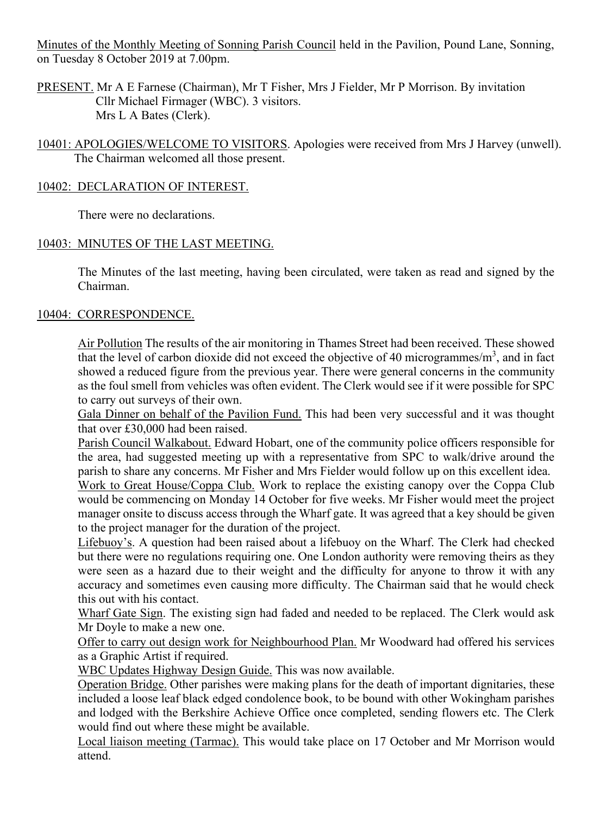Minutes of the Monthly Meeting of Sonning Parish Council held in the Pavilion, Pound Lane, Sonning, on Tuesday 8 October 2019 at 7.00pm.

PRESENT. Mr A E Farnese (Chairman), Mr T Fisher, Mrs J Fielder, Mr P Morrison. By invitation Cllr Michael Firmager (WBC). 3 visitors. Mrs L A Bates (Clerk).

10401: APOLOGIES/WELCOME TO VISITORS. Apologies were received from Mrs J Harvey (unwell). The Chairman welcomed all those present.

# 10402: DECLARATION OF INTEREST.

There were no declarations.

# 10403: MINUTES OF THE LAST MEETING.

The Minutes of the last meeting, having been circulated, were taken as read and signed by the Chairman.

# 10404: CORRESPONDENCE.

Air Pollution The results of the air monitoring in Thames Street had been received. These showed that the level of carbon dioxide did not exceed the objective of 40 microgrammes/ $m<sup>3</sup>$ , and in fact showed a reduced figure from the previous year. There were general concerns in the community as the foul smell from vehicles was often evident. The Clerk would see if it were possible for SPC to carry out surveys of their own.

Gala Dinner on behalf of the Pavilion Fund. This had been very successful and it was thought that over £30,000 had been raised.

Parish Council Walkabout. Edward Hobart, one of the community police officers responsible for the area, had suggested meeting up with a representative from SPC to walk/drive around the parish to share any concerns. Mr Fisher and Mrs Fielder would follow up on this excellent idea.

Work to Great House/Coppa Club. Work to replace the existing canopy over the Coppa Club would be commencing on Monday 14 October for five weeks. Mr Fisher would meet the project manager onsite to discuss access through the Wharf gate. It was agreed that a key should be given to the project manager for the duration of the project.

Lifebuoy's. A question had been raised about a lifebuoy on the Wharf. The Clerk had checked but there were no regulations requiring one. One London authority were removing theirs as they were seen as a hazard due to their weight and the difficulty for anyone to throw it with any accuracy and sometimes even causing more difficulty. The Chairman said that he would check this out with his contact.

Wharf Gate Sign. The existing sign had faded and needed to be replaced. The Clerk would ask Mr Doyle to make a new one.

Offer to carry out design work for Neighbourhood Plan. Mr Woodward had offered his services as a Graphic Artist if required.

WBC Updates Highway Design Guide. This was now available.

Operation Bridge. Other parishes were making plans for the death of important dignitaries, these included a loose leaf black edged condolence book, to be bound with other Wokingham parishes and lodged with the Berkshire Achieve Office once completed, sending flowers etc. The Clerk would find out where these might be available.

Local liaison meeting (Tarmac). This would take place on 17 October and Mr Morrison would attend.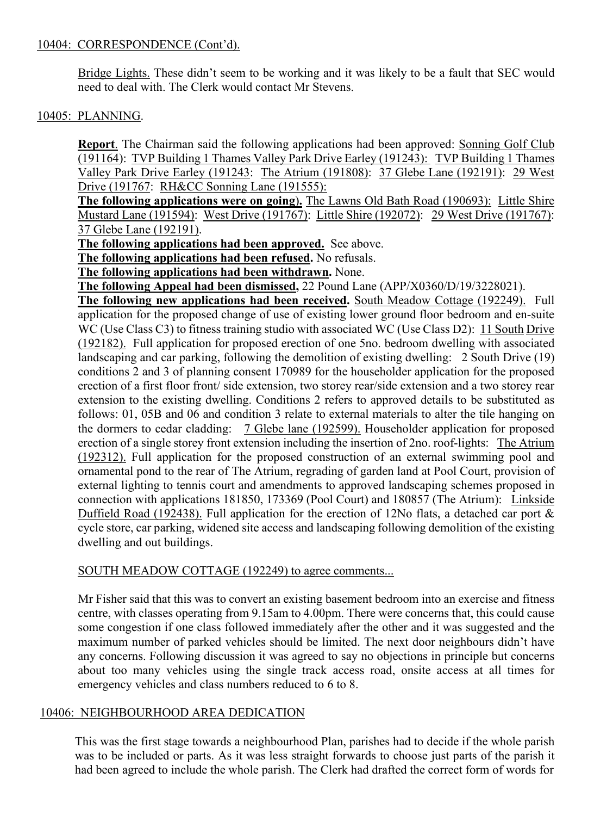### 10404: CORRESPONDENCE (Cont'd).

Bridge Lights. These didn't seem to be working and it was likely to be a fault that SEC would need to deal with. The Clerk would contact Mr Stevens.

## 10405: PLANNING.

**Report.** The Chairman said the following applications had been approved: Sonning Golf Club (191164): TVP Building 1 Thames Valley Park Drive Earley (191243): TVP Building 1 Thames Valley Park Drive Earley (191243: The Atrium (191808): 37 Glebe Lane (192191): 29 West Drive (191767: RH&CC Sonning Lane (191555):

**The following applications were on going**)**.** The Lawns Old Bath Road (190693): Little Shire Mustard Lane (191594): West Drive (191767): Little Shire (192072): 29 West Drive (191767): 37 Glebe Lane (192191).

**The following applications had been approved.** See above.

**The following applications had been refused.** No refusals.

**The following applications had been withdrawn.** None.

**The following Appeal had been dismissed,** 22 Pound Lane (APP/X0360/D/19/3228021).

**The following new applications had been received.** South Meadow Cottage (192249). Full application for the proposed change of use of existing lower ground floor bedroom and en-suite WC (Use Class C3) to fitness training studio with associated WC (Use Class D2): 11 South Drive (192182). Full application for proposed erection of one 5no. bedroom dwelling with associated landscaping and car parking, following the demolition of existing dwelling: 2 South Drive (19) conditions 2 and 3 of planning consent 170989 for the householder application for the proposed erection of a first floor front/ side extension, two storey rear/side extension and a two storey rear extension to the existing dwelling. Conditions 2 refers to approved details to be substituted as follows: 01, 05B and 06 and condition 3 relate to external materials to alter the tile hanging on the dormers to cedar cladding: 7 Glebe lane (192599). Householder application for proposed erection of a single storey front extension including the insertion of 2no. roof-lights: The Atrium (192312). Full application for the proposed construction of an external swimming pool and ornamental pond to the rear of The Atrium, regrading of garden land at Pool Court, provision of external lighting to tennis court and amendments to approved landscaping schemes proposed in connection with applications 181850, 173369 (Pool Court) and 180857 (The Atrium): Linkside Duffield Road (192438). Full application for the erection of 12No flats, a detached car port & cycle store, car parking, widened site access and landscaping following demolition of the existing dwelling and out buildings.

#### SOUTH MEADOW COTTAGE (192249) to agree comments...

Mr Fisher said that this was to convert an existing basement bedroom into an exercise and fitness centre, with classes operating from 9.15am to 4.00pm. There were concerns that, this could cause some congestion if one class followed immediately after the other and it was suggested and the maximum number of parked vehicles should be limited. The next door neighbours didn't have any concerns. Following discussion it was agreed to say no objections in principle but concerns about too many vehicles using the single track access road, onsite access at all times for emergency vehicles and class numbers reduced to 6 to 8.

#### 10406: NEIGHBOURHOOD AREA DEDICATION

This was the first stage towards a neighbourhood Plan, parishes had to decide if the whole parish was to be included or parts. As it was less straight forwards to choose just parts of the parish it had been agreed to include the whole parish. The Clerk had drafted the correct form of words for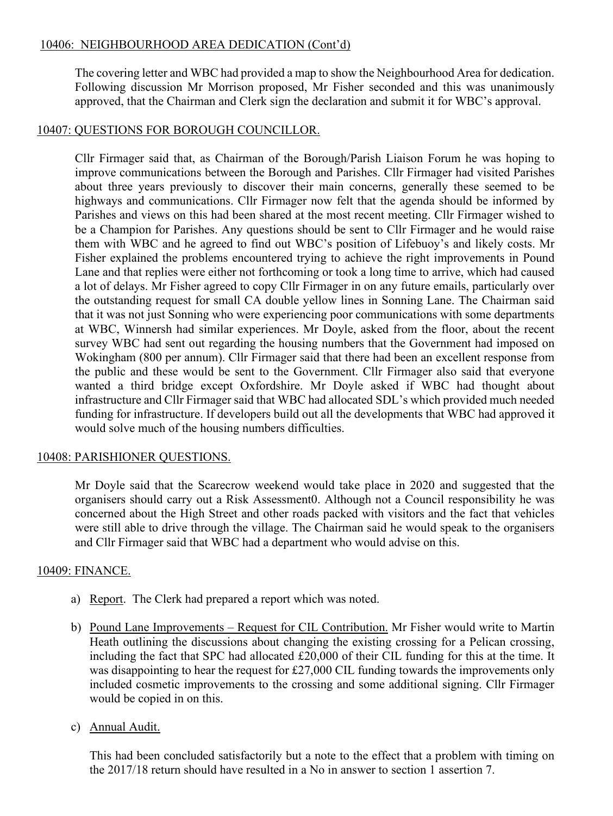## 10406: NEIGHBOURHOOD AREA DEDICATION (Cont'd)

The covering letter and WBC had provided a map to show the Neighbourhood Area for dedication. Following discussion Mr Morrison proposed, Mr Fisher seconded and this was unanimously approved, that the Chairman and Clerk sign the declaration and submit it for WBC's approval.

### 10407: QUESTIONS FOR BOROUGH COUNCILLOR.

Cllr Firmager said that, as Chairman of the Borough/Parish Liaison Forum he was hoping to improve communications between the Borough and Parishes. Cllr Firmager had visited Parishes about three years previously to discover their main concerns, generally these seemed to be highways and communications. Cllr Firmager now felt that the agenda should be informed by Parishes and views on this had been shared at the most recent meeting. Cllr Firmager wished to be a Champion for Parishes. Any questions should be sent to Cllr Firmager and he would raise them with WBC and he agreed to find out WBC's position of Lifebuoy's and likely costs. Mr Fisher explained the problems encountered trying to achieve the right improvements in Pound Lane and that replies were either not forthcoming or took a long time to arrive, which had caused a lot of delays. Mr Fisher agreed to copy Cllr Firmager in on any future emails, particularly over the outstanding request for small CA double yellow lines in Sonning Lane. The Chairman said that it was not just Sonning who were experiencing poor communications with some departments at WBC, Winnersh had similar experiences. Mr Doyle, asked from the floor, about the recent survey WBC had sent out regarding the housing numbers that the Government had imposed on Wokingham (800 per annum). Cllr Firmager said that there had been an excellent response from the public and these would be sent to the Government. Cllr Firmager also said that everyone wanted a third bridge except Oxfordshire. Mr Doyle asked if WBC had thought about infrastructure and Cllr Firmager said that WBC had allocated SDL's which provided much needed funding for infrastructure. If developers build out all the developments that WBC had approved it would solve much of the housing numbers difficulties.

#### 10408: PARISHIONER QUESTIONS.

Mr Doyle said that the Scarecrow weekend would take place in 2020 and suggested that the organisers should carry out a Risk Assessment0. Although not a Council responsibility he was concerned about the High Street and other roads packed with visitors and the fact that vehicles were still able to drive through the village. The Chairman said he would speak to the organisers and Cllr Firmager said that WBC had a department who would advise on this.

#### 10409: FINANCE.

- a) Report. The Clerk had prepared a report which was noted.
- b) Pound Lane Improvements Request for CIL Contribution. Mr Fisher would write to Martin Heath outlining the discussions about changing the existing crossing for a Pelican crossing, including the fact that SPC had allocated £20,000 of their CIL funding for this at the time. It was disappointing to hear the request for £27,000 CIL funding towards the improvements only included cosmetic improvements to the crossing and some additional signing. Cllr Firmager would be copied in on this.
- c) Annual Audit.

This had been concluded satisfactorily but a note to the effect that a problem with timing on the 2017/18 return should have resulted in a No in answer to section 1 assertion 7.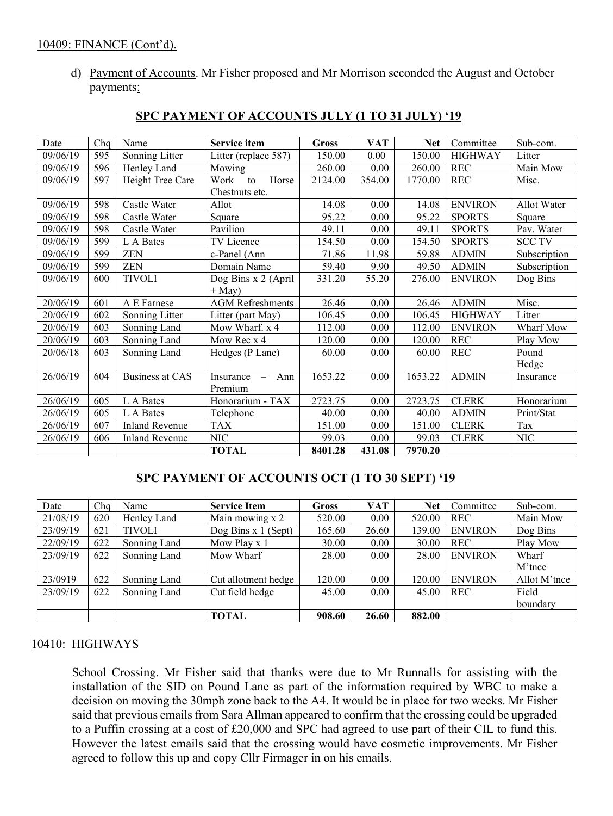#### 10409: FINANCE (Cont'd).

d) Payment of Accounts. Mr Fisher proposed and Mr Morrison seconded the August and October payments:

| Date     | Chq | Name                   | Service item            | <b>Gross</b> | <b>VAT</b> | <b>Net</b> | Committee      | Sub-com.      |
|----------|-----|------------------------|-------------------------|--------------|------------|------------|----------------|---------------|
| 09/06/19 | 595 | Sonning Litter         | Litter (replace 587)    | 150.00       | 0.00       | 150.00     | <b>HIGHWAY</b> | Litter        |
| 09/06/19 | 596 | Henley Land            | Mowing                  | 260.00       | 0.00       | 260.00     | REC            | Main Mow      |
| 09/06/19 | 597 | Height Tree Care       | Horse<br>Work<br>to     | 2124.00      | 354.00     | 1770.00    | <b>REC</b>     | Misc.         |
|          |     |                        | Chestnuts etc.          |              |            |            |                |               |
| 09/06/19 | 598 | Castle Water           | Allot                   | 14.08        | 0.00       | 14.08      | <b>ENVIRON</b> | Allot Water   |
| 09/06/19 | 598 | Castle Water           | Square                  | 95.22        | 0.00       | 95.22      | <b>SPORTS</b>  | Square        |
| 09/06/19 | 598 | Castle Water           | Pavilion                | 49.11        | 0.00       | 49.11      | <b>SPORTS</b>  | Pav. Water    |
| 09/06/19 | 599 | L A Bates              | TV Licence              | 154.50       | 0.00       | 154.50     | <b>SPORTS</b>  | <b>SCC TV</b> |
| 09/06/19 | 599 | <b>ZEN</b>             | c-Panel (Ann            | 71.86        | 11.98      | 59.88      | <b>ADMIN</b>   | Subscription  |
| 09/06/19 | 599 | <b>ZEN</b>             | Domain Name             | 59.40        | 9.90       | 49.50      | <b>ADMIN</b>   | Subscription  |
| 09/06/19 | 600 | <b>TIVOLI</b>          | Dog Bins x 2 (April     | 331.20       | 55.20      | 276.00     | <b>ENVIRON</b> | Dog Bins      |
|          |     |                        | $+$ May)                |              |            |            |                |               |
| 20/06/19 | 601 | A E Farnese            | <b>AGM</b> Refreshments | 26.46        | 0.00       | 26.46      | <b>ADMIN</b>   | Misc.         |
| 20/06/19 | 602 | Sonning Litter         | Litter (part May)       | 106.45       | 0.00       | 106.45     | <b>HIGHWAY</b> | Litter        |
| 20/06/19 | 603 | Sonning Land           | Mow Wharf. x 4          | 112.00       | 0.00       | 112.00     | <b>ENVIRON</b> | Wharf Mow     |
| 20/06/19 | 603 | Sonning Land           | Mow Rec x 4             | 120.00       | 0.00       | 120.00     | <b>REC</b>     | Play Mow      |
| 20/06/18 | 603 | Sonning Land           | Hedges (P Lane)         | 60.00        | 0.00       | 60.00      | <b>REC</b>     | Pound         |
|          |     |                        |                         |              |            |            |                | Hedge         |
| 26/06/19 | 604 | <b>Business at CAS</b> | Insurance<br>Ann        | 1653.22      | 0.00       | 1653.22    | <b>ADMIN</b>   | Insurance     |
|          |     |                        | Premium                 |              |            |            |                |               |
| 26/06/19 | 605 | L A Bates              | Honorarium - TAX        | 2723.75      | 0.00       | 2723.75    | <b>CLERK</b>   | Honorarium    |
| 26/06/19 | 605 | L A Bates              | Telephone               | 40.00        | 0.00       | 40.00      | <b>ADMIN</b>   | Print/Stat    |
| 26/06/19 | 607 | <b>Inland Revenue</b>  | <b>TAX</b>              | 151.00       | 0.00       | 151.00     | <b>CLERK</b>   | Tax           |
| 26/06/19 | 606 | <b>Inland Revenue</b>  | $\rm NIC$               | 99.03        | 0.00       | 99.03      | <b>CLERK</b>   | NIC           |
|          |     |                        | <b>TOTAL</b>            | 8401.28      | 431.08     | 7970.20    |                |               |

#### **SPC PAYMENT OF ACCOUNTS JULY (1 TO 31 JULY) '19**

# **SPC PAYMENT OF ACCOUNTS OCT (1 TO 30 SEPT) '19**

| Date     | Cha | Name          | <b>Service Item</b>   | <b>Gross</b> | VAT            | <b>Net</b> | Committee      | Sub-com.     |
|----------|-----|---------------|-----------------------|--------------|----------------|------------|----------------|--------------|
| 21/08/19 | 620 | Henley Land   | Main mowing x 2       | 520.00       | 0.00           | 520.00     | <b>REC</b>     | Main Mow     |
| 23/09/19 | 621 | <b>TIVOLI</b> | Dog Bins $x 1$ (Sept) | 165.60       | 26.60          | 139.00     | <b>ENVIRON</b> | Dog Bins     |
| 22/09/19 | 622 | Sonning Land  | Mow Play x 1          | 30.00        | $0.00\,$       | 30.00      | <b>REC</b>     | Play Mow     |
| 23/09/19 | 622 | Sonning Land  | Mow Wharf             | 28.00        | $0.00^{\circ}$ | 28.00      | <b>ENVIRON</b> | Wharf        |
|          |     |               |                       |              |                |            |                | M'tnce       |
| 23/0919  | 622 | Sonning Land  | Cut allotment hedge   | 120.00       | 0.00           | 120.00     | <b>ENVIRON</b> | Allot M'tnce |
| 23/09/19 | 622 | Sonning Land  | Cut field hedge       | 45.00        | 0.00           | 45.00      | <b>REC</b>     | Field        |
|          |     |               |                       |              |                |            |                | boundary     |
|          |     |               | <b>TOTAL</b>          | 908.60       | 26.60          | 882.00     |                |              |

#### 10410: HIGHWAYS

School Crossing. Mr Fisher said that thanks were due to Mr Runnalls for assisting with the installation of the SID on Pound Lane as part of the information required by WBC to make a decision on moving the 30mph zone back to the A4. It would be in place for two weeks. Mr Fisher said that previous emails from Sara Allman appeared to confirm that the crossing could be upgraded to a Puffin crossing at a cost of £20,000 and SPC had agreed to use part of their CIL to fund this. However the latest emails said that the crossing would have cosmetic improvements. Mr Fisher agreed to follow this up and copy Cllr Firmager in on his emails.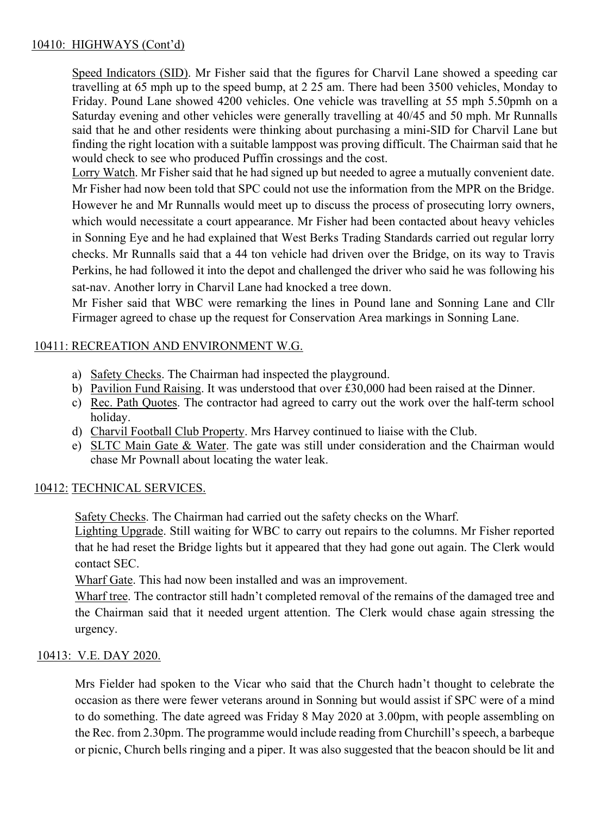# 10410: HIGHWAYS (Cont'd)

Speed Indicators (SID). Mr Fisher said that the figures for Charvil Lane showed a speeding car travelling at 65 mph up to the speed bump, at 2 25 am. There had been 3500 vehicles, Monday to Friday. Pound Lane showed 4200 vehicles. One vehicle was travelling at 55 mph 5.50pmh on a Saturday evening and other vehicles were generally travelling at 40/45 and 50 mph. Mr Runnalls said that he and other residents were thinking about purchasing a mini-SID for Charvil Lane but finding the right location with a suitable lamppost was proving difficult. The Chairman said that he would check to see who produced Puffin crossings and the cost.

Lorry Watch. Mr Fisher said that he had signed up but needed to agree a mutually convenient date. Mr Fisher had now been told that SPC could not use the information from the MPR on the Bridge. However he and Mr Runnalls would meet up to discuss the process of prosecuting lorry owners, which would necessitate a court appearance. Mr Fisher had been contacted about heavy vehicles in Sonning Eye and he had explained that West Berks Trading Standards carried out regular lorry checks. Mr Runnalls said that a 44 ton vehicle had driven over the Bridge, on its way to Travis Perkins, he had followed it into the depot and challenged the driver who said he was following his sat-nav. Another lorry in Charvil Lane had knocked a tree down.

Mr Fisher said that WBC were remarking the lines in Pound lane and Sonning Lane and Cllr Firmager agreed to chase up the request for Conservation Area markings in Sonning Lane.

# 10411: RECREATION AND ENVIRONMENT W.G.

- a) Safety Checks. The Chairman had inspected the playground.
- b) Pavilion Fund Raising. It was understood that over £30,000 had been raised at the Dinner.
- c) Rec. Path Quotes. The contractor had agreed to carry out the work over the half-term school holiday.
- d) Charvil Football Club Property. Mrs Harvey continued to liaise with the Club.
- e) SLTC Main Gate & Water. The gate was still under consideration and the Chairman would chase Mr Pownall about locating the water leak.

# 10412: TECHNICAL SERVICES.

Safety Checks. The Chairman had carried out the safety checks on the Wharf.

Lighting Upgrade. Still waiting for WBC to carry out repairs to the columns. Mr Fisher reported that he had reset the Bridge lights but it appeared that they had gone out again. The Clerk would contact SEC.

Wharf Gate. This had now been installed and was an improvement.

Wharf tree. The contractor still hadn't completed removal of the remains of the damaged tree and the Chairman said that it needed urgent attention. The Clerk would chase again stressing the urgency.

# 10413: V.E. DAY 2020.

Mrs Fielder had spoken to the Vicar who said that the Church hadn't thought to celebrate the occasion as there were fewer veterans around in Sonning but would assist if SPC were of a mind to do something. The date agreed was Friday 8 May 2020 at 3.00pm, with people assembling on the Rec. from 2.30pm. The programme would include reading from Churchill's speech, a barbeque or picnic, Church bells ringing and a piper. It was also suggested that the beacon should be lit and